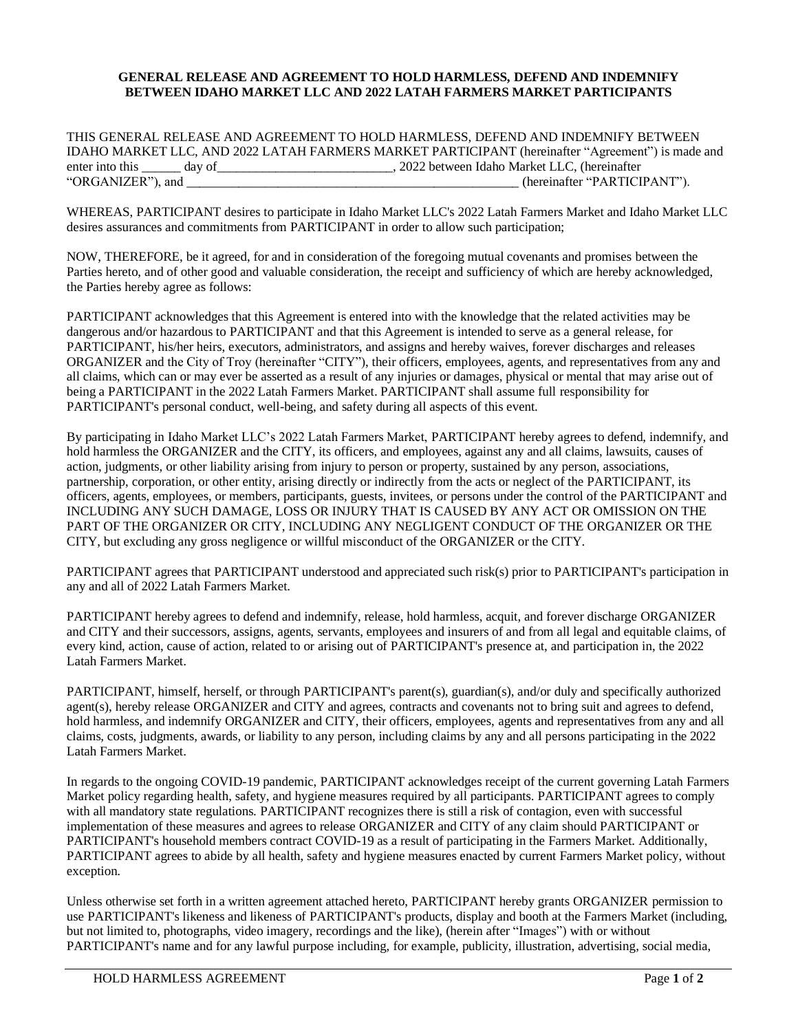## **GENERAL RELEASE AND AGREEMENT TO HOLD HARMLESS, DEFEND AND INDEMNIFY BETWEEN IDAHO MARKET LLC AND 2022 LATAH FARMERS MARKET PARTICIPANTS**

THIS GENERAL RELEASE AND AGREEMENT TO HOLD HARMLESS, DEFEND AND INDEMNIFY BETWEEN IDAHO MARKET LLC, AND 2022 LATAH FARMERS MARKET PARTICIPANT (hereinafter "Agreement") is made and enter into this \_\_\_\_\_ day of \_\_\_\_\_\_\_\_\_\_\_\_\_\_\_\_\_\_\_\_\_\_\_\_\_\_\_\_\_\_, 2022 between Idaho Market LLC, (hereinafter "PARTICI (hereinafter "PARTICIPANT").

WHEREAS, PARTICIPANT desires to participate in Idaho Market LLC's 2022 Latah Farmers Market and Idaho Market LLC desires assurances and commitments from PARTICIPANT in order to allow such participation;

NOW, THEREFORE, be it agreed, for and in consideration of the foregoing mutual covenants and promises between the Parties hereto, and of other good and valuable consideration, the receipt and sufficiency of which are hereby acknowledged, the Parties hereby agree as follows:

PARTICIPANT acknowledges that this Agreement is entered into with the knowledge that the related activities may be dangerous and/or hazardous to PARTICIPANT and that this Agreement is intended to serve as a general release, for PARTICIPANT, his/her heirs, executors, administrators, and assigns and hereby waives, forever discharges and releases ORGANIZER and the City of Troy (hereinafter "CITY"), their officers, employees, agents, and representatives from any and all claims, which can or may ever be asserted as a result of any injuries or damages, physical or mental that may arise out of being a PARTICIPANT in the 2022 Latah Farmers Market. PARTICIPANT shall assume full responsibility for PARTICIPANT's personal conduct, well-being, and safety during all aspects of this event.

By participating in Idaho Market LLC's 2022 Latah Farmers Market, PARTICIPANT hereby agrees to defend, indemnify, and hold harmless the ORGANIZER and the CITY, its officers, and employees, against any and all claims, lawsuits, causes of action, judgments, or other liability arising from injury to person or property, sustained by any person, associations, partnership, corporation, or other entity, arising directly or indirectly from the acts or neglect of the PARTICIPANT, its officers, agents, employees, or members, participants, guests, invitees, or persons under the control of the PARTICIPANT and INCLUDING ANY SUCH DAMAGE, LOSS OR INJURY THAT IS CAUSED BY ANY ACT OR OMISSION ON THE PART OF THE ORGANIZER OR CITY, INCLUDING ANY NEGLIGENT CONDUCT OF THE ORGANIZER OR THE CITY, but excluding any gross negligence or willful misconduct of the ORGANIZER or the CITY.

PARTICIPANT agrees that PARTICIPANT understood and appreciated such risk(s) prior to PARTICIPANT's participation in any and all of 2022 Latah Farmers Market.

PARTICIPANT hereby agrees to defend and indemnify, release, hold harmless, acquit, and forever discharge ORGANIZER and CITY and their successors, assigns, agents, servants, employees and insurers of and from all legal and equitable claims, of every kind, action, cause of action, related to or arising out of PARTICIPANT's presence at, and participation in, the 2022 Latah Farmers Market.

PARTICIPANT, himself, herself, or through PARTICIPANT's parent(s), guardian(s), and/or duly and specifically authorized agent(s), hereby release ORGANIZER and CITY and agrees, contracts and covenants not to bring suit and agrees to defend, hold harmless, and indemnify ORGANIZER and CITY, their officers, employees, agents and representatives from any and all claims, costs, judgments, awards, or liability to any person, including claims by any and all persons participating in the 2022 Latah Farmers Market.

In regards to the ongoing COVID-19 pandemic, PARTICIPANT acknowledges receipt of the current governing Latah Farmers Market policy regarding health, safety, and hygiene measures required by all participants. PARTICIPANT agrees to comply with all mandatory state regulations. PARTICIPANT recognizes there is still a risk of contagion, even with successful implementation of these measures and agrees to release ORGANIZER and CITY of any claim should PARTICIPANT or PARTICIPANT's household members contract COVID-19 as a result of participating in the Farmers Market. Additionally, PARTICIPANT agrees to abide by all health, safety and hygiene measures enacted by current Farmers Market policy, without exception.

Unless otherwise set forth in a written agreement attached hereto, PARTICIPANT hereby grants ORGANIZER permission to use PARTICIPANT's likeness and likeness of PARTICIPANT's products, display and booth at the Farmers Market (including, but not limited to, photographs, video imagery, recordings and the like), (herein after "Images") with or without PARTICIPANT's name and for any lawful purpose including, for example, publicity, illustration, advertising, social media,